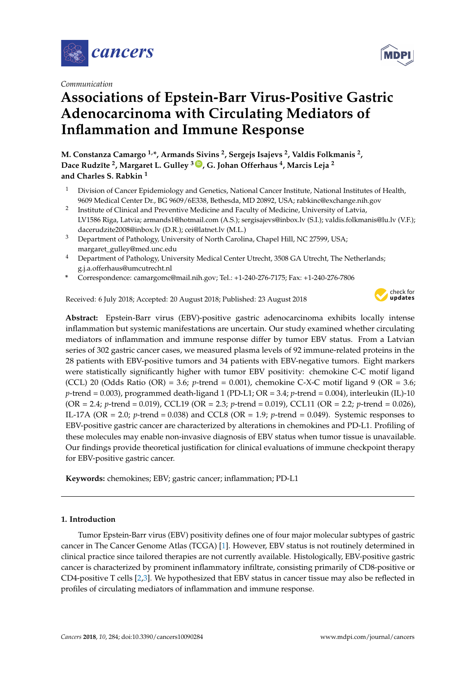

*Communication*

# **Associations of Epstein-Barr Virus-Positive Gastric Adenocarcinoma with Circulating Mediators of Inflammation and Immune Response**

**M. Constanza Camargo 1,\*, Armands Sivins <sup>2</sup> , Sergejs Isajevs <sup>2</sup> , Valdis Folkmanis <sup>2</sup> , Dace Rudz¯ıte <sup>2</sup> , Margaret L. Gulley <sup>3</sup> [ID](https://orcid.org/0000-0003-0222-4713) , G. Johan Offerhaus <sup>4</sup> , Marcis Leja <sup>2</sup> and Charles S. Rabkin <sup>1</sup>**

- <sup>1</sup> Division of Cancer Epidemiology and Genetics, National Cancer Institute, National Institutes of Health, 9609 Medical Center Dr., BG 9609/6E338, Bethesda, MD 20892, USA; rabkinc@exchange.nih.gov
- 2 Institute of Clinical and Preventive Medicine and Faculty of Medicine, University of Latvia, LV1586 Riga, Latvia; armands1@hotmail.com (A.S.); sergisajevs@inbox.lv (S.I.); valdis.folkmanis@lu.lv (V.F.); dacerudzite2008@inbox.lv (D.R.); cei@latnet.lv (M.L.)
- <sup>3</sup> Department of Pathology, University of North Carolina, Chapel Hill, NC 27599, USA; margaret\_gulley@med.unc.edu
- <sup>4</sup> Department of Pathology, University Medical Center Utrecht, 3508 GA Utrecht, The Netherlands; g.j.a.offerhaus@umcutrecht.nl
- **\*** Correspondence: camargomc@mail.nih.gov; Tel.: +1-240-276-7175; Fax: +1-240-276-7806

Received: 6 July 2018; Accepted: 20 August 2018; Published: 23 August 2018



**Abstract:** Epstein-Barr virus (EBV)-positive gastric adenocarcinoma exhibits locally intense inflammation but systemic manifestations are uncertain. Our study examined whether circulating mediators of inflammation and immune response differ by tumor EBV status. From a Latvian series of 302 gastric cancer cases, we measured plasma levels of 92 immune-related proteins in the 28 patients with EBV-positive tumors and 34 patients with EBV-negative tumors. Eight markers were statistically significantly higher with tumor EBV positivity: chemokine C-C motif ligand (CCL) 20 (Odds Ratio (OR) = 3.6; *p*-trend = 0.001), chemokine C-X-C motif ligand 9 (OR = 3.6; *p*-trend = 0.003), programmed death-ligand 1 (PD-L1; OR = 3.4; *p*-trend = 0.004), interleukin (IL)-10 (OR = 2.4; *p*-trend = 0.019), CCL19 (OR = 2.3; *p*-trend = 0.019), CCL11 (OR = 2.2; *p*-trend = 0.026), IL-17A (OR = 2.0; *p*-trend = 0.038) and CCL8 (OR = 1.9; *p*-trend = 0.049). Systemic responses to EBV-positive gastric cancer are characterized by alterations in chemokines and PD-L1. Profiling of these molecules may enable non-invasive diagnosis of EBV status when tumor tissue is unavailable. Our findings provide theoretical justification for clinical evaluations of immune checkpoint therapy for EBV-positive gastric cancer.

**Keywords:** chemokines; EBV; gastric cancer; inflammation; PD-L1

# **1. Introduction**

Tumor Epstein-Barr virus (EBV) positivity defines one of four major molecular subtypes of gastric cancer in The Cancer Genome Atlas (TCGA) [\[1\]](#page-5-0). However, EBV status is not routinely determined in clinical practice since tailored therapies are not currently available. Histologically, EBV-positive gastric cancer is characterized by prominent inflammatory infiltrate, consisting primarily of CD8-positive or CD4-positive T cells [\[2](#page-5-1)[,3\]](#page-5-2). We hypothesized that EBV status in cancer tissue may also be reflected in profiles of circulating mediators of inflammation and immune response.

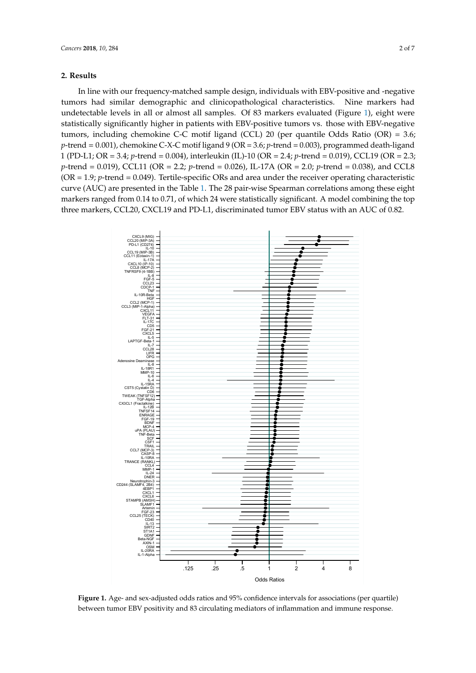# **2. Results**

In line with our frequency-matched sample design, individuals with EBV-positive and -negative tumors had similar demographic and clinicopathological characteristics. Nine markers had undetectable levels in all or almost all samples. Of 83 [ma](#page-1-0)rkers evaluated (Figure 1), eight were statistically significantly higher in patients with EBV-positive tumors vs. those with EBV-negative tumors, including chemokine C-C motif ligand (CCL) 20 (per quantile Odds Ratio (OR) = 3.6; p-trend = 0.001), chemokine C-X-C motif ligand 9 (OR = 3.6; *p*-trend = 0.003), programmed death-ligand 1 (PD-L1; OR = 3.4; *p*-trend = 0.004), interleukin (IL)-10 (OR = 2.4; *p*-trend = 0.019), CCL19 (OR = 2.3; p-trend = 0.019), CCL11 (OR = 2.2; p-trend = 0.026), IL-17A (OR = 2.0; p-trend = 0.038), and CCL8 .<br>(OR = 1.9; p-trend = 0.049). Tertile-specific ORs and area under the receiver operating characteristic curve (AUC) are presented in the Table [1.](#page-2-0) The 28 pair-wise Spearman correlations among these eight markers ranged from 0.14 to 0.71, of which 24 were statistically significant. A model combining the top markers ranged from 0.14 to 0.14, or markers were statistically significant. A model combining the chemical protop three markers, CCL20, CXCL19 and PD-L1, discriminated tumor EBV status with an AUC of 0.82.

<span id="page-1-0"></span>

**Figure 1.** Age- and sex-adjusted odds ratios and 95% confidence intervals for associations (per **Figure 1.** Age- and sex-adjusted odds ratios and 95% confidence intervals for associations (per quartile) between tumor EBV positivity and 83 circulating mediators of inflammation and immune response.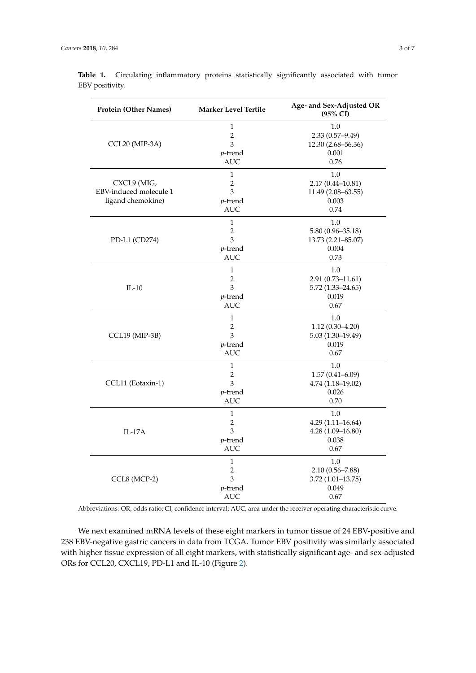| <b>Protein (Other Names)</b>                               | <b>Marker Level Tertile</b> | Age- and Sex-Adjusted OR<br>(95% CI) |
|------------------------------------------------------------|-----------------------------|--------------------------------------|
| CCL20 (MIP-3A)                                             | 1                           | 1.0                                  |
|                                                            | $\overline{c}$              | $2.33(0.57-9.49)$                    |
|                                                            | $\overline{3}$              | 12.30 (2.68-56.36)                   |
|                                                            | $p$ -trend                  | 0.001                                |
|                                                            | <b>AUC</b>                  | 0.76                                 |
| CXCL9 (MIG,<br>EBV-induced molecule 1<br>ligand chemokine) | $\mathbf{1}$                | 1.0                                  |
|                                                            | 2                           | $2.17(0.44 - 10.81)$                 |
|                                                            | 3                           | 11.49 (2.08-63.55)                   |
|                                                            | $p$ -trend                  | 0.003                                |
|                                                            | <b>AUC</b>                  | 0.74                                 |
| PD-L1 (CD274)                                              | $\mathbf{1}$                | 1.0                                  |
|                                                            | $\overline{2}$              | $5.80(0.96 - 35.18)$                 |
|                                                            | 3                           | 13.73 (2.21-85.07)                   |
|                                                            | $p$ -trend                  | 0.004                                |
|                                                            | <b>AUC</b>                  | 0.73                                 |
| $IL-10$                                                    | $\mathbf{1}$                | 1.0                                  |
|                                                            | $\overline{2}$              | $2.91(0.73 - 11.61)$                 |
|                                                            | 3                           | $5.72(1.33 - 24.65)$                 |
|                                                            | $p$ -trend                  | 0.019                                |
|                                                            | <b>AUC</b>                  | 0.67                                 |
| CCL19 (MIP-3B)                                             | $\mathbf{1}$                | 1.0                                  |
|                                                            | 2                           | $1.12(0.30-4.20)$                    |
|                                                            | 3                           | $5.03(1.30-19.49)$                   |
|                                                            | $p$ -trend                  | 0.019                                |
|                                                            | <b>AUC</b>                  | 0.67                                 |
| CCL11 (Eotaxin-1)                                          | $\mathbf{1}$                | 1.0                                  |
|                                                            | $\overline{c}$              | $1.57(0.41 - 6.09)$                  |
|                                                            | 3                           | $4.74(1.18-19.02)$                   |
|                                                            | $p$ -trend                  | 0.026                                |
|                                                            | <b>AUC</b>                  | 0.70                                 |
| $IL-17A$                                                   | 1                           | 1.0                                  |
|                                                            | 2                           | $4.29(1.11 - 16.64)$                 |
|                                                            | 3                           | $4.28(1.09 - 16.80)$                 |
|                                                            | $p$ -trend                  | 0.038                                |
|                                                            | <b>AUC</b>                  | 0.67                                 |
| CCL8 (MCP-2)                                               | $\mathbf{1}$                | 1.0                                  |
|                                                            | 2                           | $2.10(0.56 - 7.88)$                  |
|                                                            | 3                           | $3.72(1.01 - 13.75)$                 |
|                                                            | <i>p</i> -trend             | 0.049                                |
|                                                            | AUC                         | 0.67                                 |

<span id="page-2-0"></span>Table 1. Circulating inflammatory proteins statistically significantly associated with tumor EBV positivity.

Abbreviations: OR, odds ratio; CI, confidence interval; AUC, area under the receiver operating characteristic curve.

We next examined mRNA levels of these eight markers in tumor tissue of 24 EBV-positive and 238 EBV-negative gastric cancers in data from TCGA. Tumor EBV positivity was similarly associated with higher tissue expression of all eight markers, with statistically significant age- and sex-adjusted ORs for CCL20, CXCL19, PD-L1 and IL-10 (Figure [2\)](#page-3-0).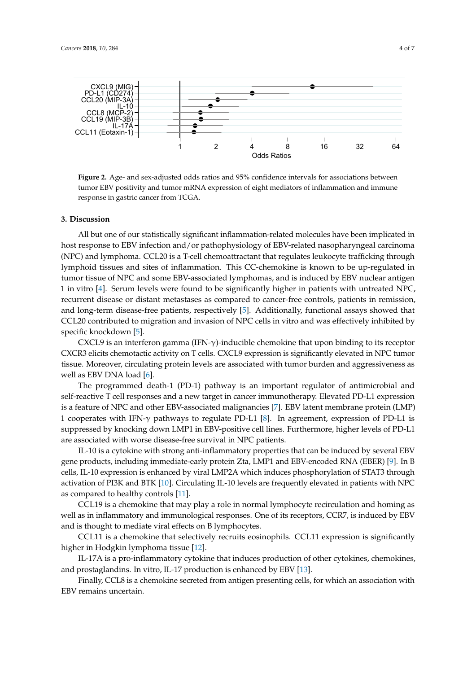<span id="page-3-0"></span>

**Figure 2.** Age- and sex-adjusted odds ratios and 95% confidence intervals for associations between tumor EBV positivity and tumor mRNA expression of eight mediators of inflammation and immune response in gastric cancer from TCGA.

#### **3. Discussion**

All but one of our statistically significant inflammation-related molecules have been implicated in host response to EBV infection and/or pathophysiology of EBV-related nasopharyngeal carcinoma (NPC) and lymphoma. CCL20 is a T-cell chemoattractant that regulates leukocyte trafficking through lymphoid tissues and sites of inflammation. This CC-chemokine is known to be up-regulated in tumor tissue of NPC and some EBV-associated lymphomas, and is induced by EBV nuclear antigen 1 in vitro [\[4\]](#page-5-3). Serum levels were found to be significantly higher in patients with untreated NPC, recurrent disease or distant metastases as compared to cancer-free controls, patients in remission, and long-term disease-free patients, respectively [\[5\]](#page-5-4). Additionally, functional assays showed that  $CCL20$  contributed to migration and invasion of NPC cells in vitro and was effectively inhibited by specific knockdown [\[5\]](#page-5-4).

CXCL9 is an interferon gamma (IFN- $\gamma$ )-inducible chemokine that upon binding to its receptor CXCR3 elicits chemotactic activity on T cells. CXCL9 expression is significantly elevated in NPC tumor tissue. Moreover, circulating protein levels are associated with tumor burden and aggressiveness as well as EBV DNA load  $[6]$ .

The programmed death-1 (PD-1) pathway is an important regulator of antimicrobial and self-reactive T cell responses and a new target in cancer immunotherapy. Elevated PD-L1 expression is a feature of NPC and other EBV-associated malignancies [\[7\]](#page-5-6). EBV latent membrane protein (LMP) 1 cooperates with IFN- $\gamma$  pathways to regulate PD-L1 [\[8\]](#page-5-7). In agreement, expression of PD-L1 is suppressed by knocking down LMP1 in EBV-positive cell lines. Furthermore, higher levels of PD-L1 are associated with worse disease-free survival in NPC patients.

IL-10 is a cytokine with strong anti-inflammatory properties that can be induced by several EBV gene products, including immediate-early protein Zta, LMP1 and EBV-encoded RNA (EBER) [\[9\]](#page-5-8). In B cells, IL-10 expression is enhanced by viral LMP2A which induces phosphorylation of STAT3 through activation of PI3K and BTK [\[10\]](#page-5-9). Circulating IL-10 levels are frequently elevated in patients with NPC as compared to healthy controls  $[11]$ .

CCL19 is a chemokine that may play a role in normal lymphocyte recirculation and homing as well as in inflammatory and immunological responses. One of its receptors, CCR7, is induced by EBV and is thought to mediate viral effects on B lymphocytes.

CCL11 is a chemokine that selectively recruits eosinophils. CCL11 expression is significantly higher in Hodgkin lymphoma tissue [\[12\]](#page-5-11).

IL-17A is a pro-inflammatory cytokine that induces production of other cytokines, chemokines, and prostaglandins. In vitro, IL-17 production is enhanced by EBV [\[13\]](#page-5-12).

Finally, CCL8 is a chemokine secreted from antigen presenting cells, for which an association with EBV remains uncertain.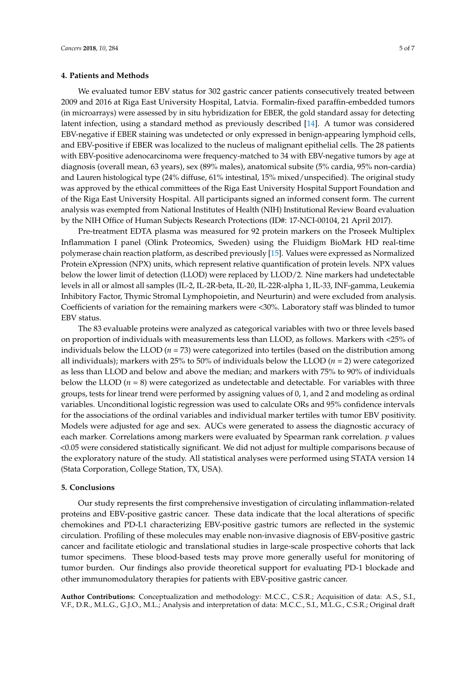# **4. Patients and Methods**

We evaluated tumor EBV status for 302 gastric cancer patients consecutively treated between 2009 and 2016 at Riga East University Hospital, Latvia. Formalin-fixed paraffin-embedded tumors (in microarrays) were assessed by in situ hybridization for EBER, the gold standard assay for detecting latent infection, using a standard method as previously described [\[14\]](#page-6-0). A tumor was considered EBV-negative if EBER staining was undetected or only expressed in benign-appearing lymphoid cells, and EBV-positive if EBER was localized to the nucleus of malignant epithelial cells. The 28 patients with EBV-positive adenocarcinoma were frequency-matched to 34 with EBV-negative tumors by age at diagnosis (overall mean, 63 years), sex (89% males), anatomical subsite (5% cardia, 95% non-cardia) and Lauren histological type (24% diffuse, 61% intestinal, 15% mixed/unspecified). The original study was approved by the ethical committees of the Riga East University Hospital Support Foundation and of the Riga East University Hospital. All participants signed an informed consent form. The current analysis was exempted from National Institutes of Health (NIH) Institutional Review Board evaluation by the NIH Office of Human Subjects Research Protections (ID#: 17-NCI-00104, 21 April 2017).

Pre-treatment EDTA plasma was measured for 92 protein markers on the Proseek Multiplex Inflammation I panel (Olink Proteomics, Sweden) using the Fluidigm BioMark HD real-time polymerase chain reaction platform, as described previously [\[15\]](#page-6-1). Values were expressed as Normalized Protein eXpression (NPX) units, which represent relative quantification of protein levels. NPX values below the lower limit of detection (LLOD) were replaced by LLOD/2. Nine markers had undetectable levels in all or almost all samples (IL-2, IL-2R-beta, IL-20, IL-22R-alpha 1, IL-33, INF-gamma, Leukemia Inhibitory Factor, Thymic Stromal Lymphopoietin, and Neurturin) and were excluded from analysis. Coefficients of variation for the remaining markers were <30%. Laboratory staff was blinded to tumor EBV status.

The 83 evaluable proteins were analyzed as categorical variables with two or three levels based on proportion of individuals with measurements less than LLOD, as follows. Markers with <25% of individuals below the LLOD ( $n = 73$ ) were categorized into tertiles (based on the distribution among all individuals); markers with 25% to 50% of individuals below the LLOD (*n* = 2) were categorized as less than LLOD and below and above the median; and markers with 75% to 90% of individuals below the LLOD  $(n = 8)$  were categorized as undetectable and detectable. For variables with three groups, tests for linear trend were performed by assigning values of 0, 1, and 2 and modeling as ordinal variables. Unconditional logistic regression was used to calculate ORs and 95% confidence intervals for the associations of the ordinal variables and individual marker tertiles with tumor EBV positivity. Models were adjusted for age and sex. AUCs were generated to assess the diagnostic accuracy of each marker. Correlations among markers were evaluated by Spearman rank correlation. *p* values <0.05 were considered statistically significant. We did not adjust for multiple comparisons because of the exploratory nature of the study. All statistical analyses were performed using STATA version 14 (Stata Corporation, College Station, TX, USA).

# **5. Conclusions**

Our study represents the first comprehensive investigation of circulating inflammation-related proteins and EBV-positive gastric cancer. These data indicate that the local alterations of specific chemokines and PD-L1 characterizing EBV-positive gastric tumors are reflected in the systemic circulation. Profiling of these molecules may enable non-invasive diagnosis of EBV-positive gastric cancer and facilitate etiologic and translational studies in large-scale prospective cohorts that lack tumor specimens. These blood-based tests may prove more generally useful for monitoring of tumor burden. Our findings also provide theoretical support for evaluating PD-1 blockade and other immunomodulatory therapies for patients with EBV-positive gastric cancer.

**Author Contributions:** Conceptualization and methodology: M.C.C., C.S.R.; Acquisition of data: A.S., S.I., V.F., D.R., M.L.G., G.J.O., M.L.; Analysis and interpretation of data: M.C.C., S.I., M.L.G., C.S.R.; Original draft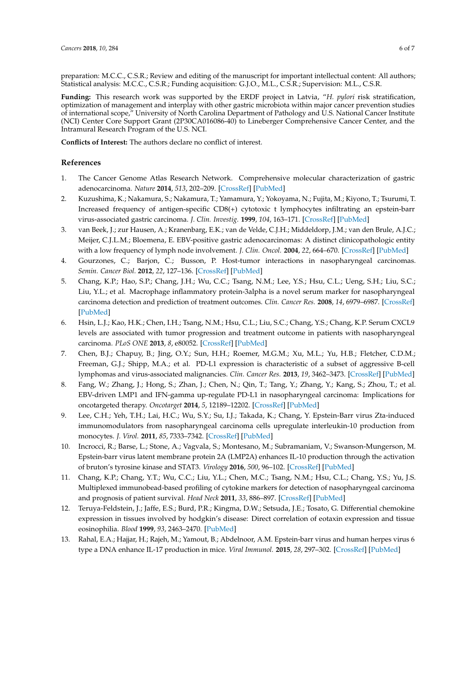preparation: M.C.C., C.S.R.; Review and editing of the manuscript for important intellectual content: All authors; Statistical analysis: M.C.C., C.S.R.; Funding acquisition: G.J.O., M.L., C.S.R.; Supervision: M.L., C.S.R.

**Funding:** This research work was supported by the ERDF project in Latvia, "*H. pylori* risk stratification, optimization of management and interplay with other gastric microbiota within major cancer prevention studies of international scope," University of North Carolina Department of Pathology and U.S. National Cancer Institute (NCI) Center Core Support Grant (2P30CA016086-40) to Lineberger Comprehensive Cancer Center, and the Intramural Research Program of the U.S. NCI.

**Conflicts of Interest:** The authors declare no conflict of interest.

# **References**

- <span id="page-5-0"></span>1. The Cancer Genome Atlas Research Network. Comprehensive molecular characterization of gastric adenocarcinoma. *Nature* **2014**, *513*, 202–209. [\[CrossRef\]](http://dx.doi.org/10.1038/nature13480) [\[PubMed\]](http://www.ncbi.nlm.nih.gov/pubmed/25079317)
- <span id="page-5-1"></span>2. Kuzushima, K.; Nakamura, S.; Nakamura, T.; Yamamura, Y.; Yokoyama, N.; Fujita, M.; Kiyono, T.; Tsurumi, T. Increased frequency of antigen-specific CD8(+) cytotoxic t lymphocytes infiltrating an epstein-barr virus-associated gastric carcinoma. *J. Clin. Investig.* **1999**, *104*, 163–171. [\[CrossRef\]](http://dx.doi.org/10.1172/JCI6062) [\[PubMed\]](http://www.ncbi.nlm.nih.gov/pubmed/10411545)
- <span id="page-5-2"></span>3. van Beek, J.; zur Hausen, A.; Kranenbarg, E.K.; van de Velde, C.J.H.; Middeldorp, J.M.; van den Brule, A.J.C.; Meijer, C.J.L.M.; Bloemena, E. EBV-positive gastric adenocarcinomas: A distinct clinicopathologic entity with a low frequency of lymph node involvement. *J. Clin. Oncol.* **2004**, *22*, 664–670. [\[CrossRef\]](http://dx.doi.org/10.1200/JCO.2004.08.061) [\[PubMed\]](http://www.ncbi.nlm.nih.gov/pubmed/14966089)
- <span id="page-5-3"></span>4. Gourzones, C.; Barjon, C.; Busson, P. Host-tumor interactions in nasopharyngeal carcinomas. *Semin. Cancer Biol.* **2012**, *22*, 127–136. [\[CrossRef\]](http://dx.doi.org/10.1016/j.semcancer.2012.01.002) [\[PubMed\]](http://www.ncbi.nlm.nih.gov/pubmed/22249142)
- <span id="page-5-4"></span>5. Chang, K.P.; Hao, S.P.; Chang, J.H.; Wu, C.C.; Tsang, N.M.; Lee, Y.S.; Hsu, C.L.; Ueng, S.H.; Liu, S.C.; Liu, Y.L.; et al. Macrophage inflammatory protein-3alpha is a novel serum marker for nasopharyngeal carcinoma detection and prediction of treatment outcomes. *Clin. Cancer Res.* **2008**, *14*, 6979–6987. [\[CrossRef\]](http://dx.doi.org/10.1158/1078-0432.CCR-08-0090) [\[PubMed\]](http://www.ncbi.nlm.nih.gov/pubmed/18980993)
- <span id="page-5-5"></span>6. Hsin, L.J.; Kao, H.K.; Chen, I.H.; Tsang, N.M.; Hsu, C.L.; Liu, S.C.; Chang, Y.S.; Chang, K.P. Serum CXCL9 levels are associated with tumor progression and treatment outcome in patients with nasopharyngeal carcinoma. *PLoS ONE* **2013**, *8*, e80052. [\[CrossRef\]](http://dx.doi.org/10.1371/journal.pone.0080052) [\[PubMed\]](http://www.ncbi.nlm.nih.gov/pubmed/24278236)
- <span id="page-5-6"></span>7. Chen, B.J.; Chapuy, B.; Jing, O.Y.; Sun, H.H.; Roemer, M.G.M.; Xu, M.L.; Yu, H.B.; Fletcher, C.D.M.; Freeman, G.J.; Shipp, M.A.; et al. PD-L1 expression is characteristic of a subset of aggressive B-cell lymphomas and virus-associated malignancies. *Clin. Cancer Res.* **2013**, *19*, 3462–3473. [\[CrossRef\]](http://dx.doi.org/10.1158/1078-0432.CCR-13-0855) [\[PubMed\]](http://www.ncbi.nlm.nih.gov/pubmed/23674495)
- <span id="page-5-7"></span>8. Fang, W.; Zhang, J.; Hong, S.; Zhan, J.; Chen, N.; Qin, T.; Tang, Y.; Zhang, Y.; Kang, S.; Zhou, T.; et al. EBV-driven LMP1 and IFN-gamma up-regulate PD-L1 in nasopharyngeal carcinoma: Implications for oncotargeted therapy. *Oncotarget* **2014**, *5*, 12189–12202. [\[CrossRef\]](http://dx.doi.org/10.18632/oncotarget.2608) [\[PubMed\]](http://www.ncbi.nlm.nih.gov/pubmed/25361008)
- <span id="page-5-8"></span>9. Lee, C.H.; Yeh, T.H.; Lai, H.C.; Wu, S.Y.; Su, I.J.; Takada, K.; Chang, Y. Epstein-Barr virus Zta-induced immunomodulators from nasopharyngeal carcinoma cells upregulate interleukin-10 production from monocytes. *J. Virol.* **2011**, *85*, 7333–7342. [\[CrossRef\]](http://dx.doi.org/10.1128/JVI.00182-11) [\[PubMed\]](http://www.ncbi.nlm.nih.gov/pubmed/21543473)
- <span id="page-5-9"></span>10. Incrocci, R.; Barse, L.; Stone, A.; Vagvala, S.; Montesano, M.; Subramaniam, V.; Swanson-Mungerson, M. Epstein-barr virus latent membrane protein 2A (LMP2A) enhances IL-10 production through the activation of bruton's tyrosine kinase and STAT3. *Virology* **2016**, *500*, 96–102. [\[CrossRef\]](http://dx.doi.org/10.1016/j.virol.2016.10.015) [\[PubMed\]](http://www.ncbi.nlm.nih.gov/pubmed/27792904)
- <span id="page-5-10"></span>11. Chang, K.P.; Chang, Y.T.; Wu, C.C.; Liu, Y.L.; Chen, M.C.; Tsang, N.M.; Hsu, C.L.; Chang, Y.S.; Yu, J.S. Multiplexed immunobead-based profiling of cytokine markers for detection of nasopharyngeal carcinoma and prognosis of patient survival. *Head Neck* **2011**, *33*, 886–897. [\[CrossRef\]](http://dx.doi.org/10.1002/hed.21557) [\[PubMed\]](http://www.ncbi.nlm.nih.gov/pubmed/21560180)
- <span id="page-5-11"></span>12. Teruya-Feldstein, J.; Jaffe, E.S.; Burd, P.R.; Kingma, D.W.; Setsuda, J.E.; Tosato, G. Differential chemokine expression in tissues involved by hodgkin's disease: Direct correlation of eotaxin expression and tissue eosinophilia. *Blood* **1999**, *93*, 2463–2470. [\[PubMed\]](http://www.ncbi.nlm.nih.gov/pubmed/10194423)
- <span id="page-5-12"></span>13. Rahal, E.A.; Hajjar, H.; Rajeh, M.; Yamout, B.; Abdelnoor, A.M. Epstein-barr virus and human herpes virus 6 type a DNA enhance IL-17 production in mice. *Viral Immunol.* **2015**, *28*, 297–302. [\[CrossRef\]](http://dx.doi.org/10.1089/vim.2014.0129) [\[PubMed\]](http://www.ncbi.nlm.nih.gov/pubmed/25870901)